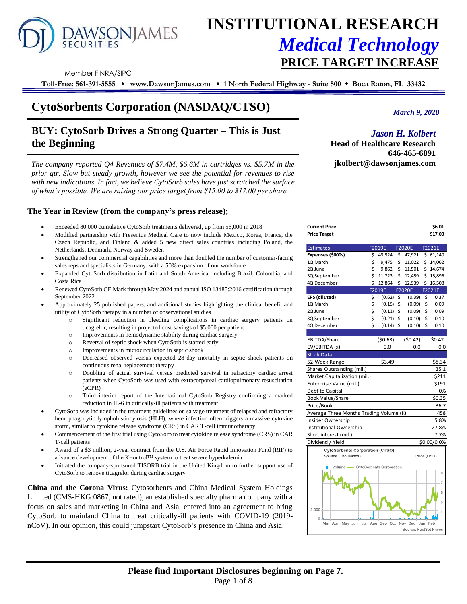

# **INSTITUTIONAL RESEARCH** *Medical Technology* **PRICE TARGET INCREASE**

Member FINRA/SIPC

**Toll-Free: 561-391-5555** ⬧ **www.DawsonJames.com** ⬧ **1 North Federal Highway - Suite 500** ⬧ **Boca Raton, FL 33432**

## **CytoSorbents Corporation (NASDAQ/CTSO)**

## **BUY: CytoSorb Drives a Strong Quarter – This is Just the Beginning**

*The company reported Q4 Revenues of \$7.4M, \$6.6M in cartridges vs. \$5.7M in the prior qtr. Slow but steady growth, however we see the potential for revenues to rise with new indications. In fact, we believe CytoSorb sales have just scratched the surface of what's possible. We are raising our price target from \$15.00 to \$17.00 per share.* 

## **The Year in Review (from the company's press release);**

- Exceeded 80,000 cumulative CytoSorb treatments delivered, up from 56,000 in 2018
- Modified partnership with Fresenius Medical Care to now include Mexico, Korea, France, the Czech Republic, and Finland & added 5 new direct sales countries including Poland, the Netherlands, Denmark, Norway and Sweden
- Strengthened our commercial capabilities and more than doubled the number of customer-facing sales reps and specialists in Germany, with a 50% expansion of our workforce
- Expanded CytoSorb distribution in Latin and South America, including Brazil, Colombia, and Costa Rica
- Renewed CytoSorb CE Mark through May 2024 and annual ISO 13485:2016 certification through September 2022
- Approximately 25 published papers, and additional studies highlighting the clinical benefit and utility of CytoSorb therapy in a number of observational studies
	- o Significant reduction in bleeding complications in cardiac surgery patients on ticagrelor, resulting in projected cost savings of \$5,000 per patient
	- o Improvements in hemodynamic stability during cardiac surgery
	- o Reversal of septic shock when CytoSorb is started early
	- o Improvements in microcirculation in septic shock
	- o Decreased observed versus expected 28-day mortality in septic shock patients on continuous renal replacement therapy
	- o Doubling of actual survival versus predicted survival in refractory cardiac arrest patients when CytoSorb was used with extracorporeal cardiopulmonary resuscitation (eCPR)
	- o Third interim report of the International CytoSorb Registry confirming a marked reduction in IL-6 in critically-ill patients with treatment
- CytoSorb was included in the treatment guidelines on salvage treatment of relapsed and refractory hemophagocytic lymphohistiocytosis (HLH), where infection often triggers a massive cytokine storm, similar to cytokine release syndrome (CRS) in CAR T-cell immunotherapy
- Commencement of the first trial using CytoSorb to treat cytokine release syndrome (CRS) in CAR T-cell patients
- Award of a \$3 million, 2-year contract from the U.S. Air Force Rapid Innovation Fund (RIF) to advance development of the K+ontrol™ system to treat severe hyperkalemia
- Initiated the company-sponsored TISORB trial in the United Kingdom to further support use of CytoSorb to remove ticagrelor during cardiac surgery

**China and the Corona Virus:** Cytosorbents and China Medical System Holdings Limited (CMS-HKG:0867, not rated), an established specialty pharma company with a focus on sales and marketing in China and Asia, entered into an agreement to bring CytoSorb to mainland China to treat critically-ill patients with COVID-19 (2019 nCoV). In our opinion, this could jumpstart CytoSorb's presence in China and Asia.

*March 9, 2020*

## *Jason H. Kolbert*

**Head of Healthcare Research 646-465-6891 jkolbert@dawsonjames.com**

**Current Price \$6.01** 

| <b>Price Target</b>                     |    |         | \$17.00     |               |                     |
|-----------------------------------------|----|---------|-------------|---------------|---------------------|
| <b>Estimates</b>                        |    | F2019E  |             | <b>F2020E</b> | F <sub>20</sub> 21E |
| Expenses (\$000s)                       | \$ | 43,924  | \$.         | 47,921        | \$61,140            |
| 1Q March                                | \$ | 9,475   | \$          | 11,022        | \$<br>14,062        |
| 2Q June                                 | \$ | 9,862   | \$          | 11,501        | \$14,674            |
| 3Q September                            | \$ | 11,723  | \$          | 12,459        | \$15,896            |
| 4Q December                             | \$ | 12,864  | \$          | 12,939        | \$16,508            |
|                                         |    | F2019E  |             | F2020E        | F2021E              |
| EPS (diluted)                           | \$ | (0.62)  | \$          | (0.39)        | \$<br>0.37          |
| 10 March                                | \$ | (0.15)  | \$          | (0.09)        | \$<br>0.09          |
| 2Q June                                 | \$ | (0.11)  | \$          | (0.09)        | \$<br>0.09          |
| 3Q September                            | \$ | (0.21)  | \$          | (0.10)        | \$<br>0.10          |
| 4Q December                             | Ś  | (0.14)  | \$          | (0.10)        | \$<br>0.10          |
|                                         |    |         |             |               |                     |
| EBITDA/Share                            |    | (50.63) |             | (50.42)       | \$0.42              |
| EV/EBITDA (x)                           |    | 0.0     |             | 0.0           | 0.0                 |
| <b>Stock Data</b>                       |    |         |             |               |                     |
| 52-Week Range                           |    | \$3.49  |             |               | \$8.34              |
| Shares Outstanding (mil.)               |    |         |             |               | 35.1                |
| Market Capitalization (mil.)            |    |         |             |               | \$211               |
| Enterprise Value (mil.)                 |    |         |             |               | \$191               |
| Debt to Capital                         |    |         |             |               | 0%                  |
| Book Value/Share                        |    |         |             |               | \$0.35              |
| Price/Book                              |    |         |             |               | 36.7                |
| Average Three Months Trading Volume (K) |    |         |             |               | 458                 |
| Insider Ownership                       |    |         |             |               | 5.8%                |
| Institutional Ownership                 |    |         |             |               | 27.8%               |
| Short interest (mil.)                   |    |         |             |               | 7.7%                |
| Dividend / Yield                        |    |         | \$0.00/0.0% |               |                     |
| <b>CytoSorbents Corporation (CTSO)</b>  |    |         |             |               |                     |
| Volume (Thousands)                      |    |         |             |               | Price (USD)         |
| Volume CytoSorbents Corporation         |    |         | 8           |               |                     |

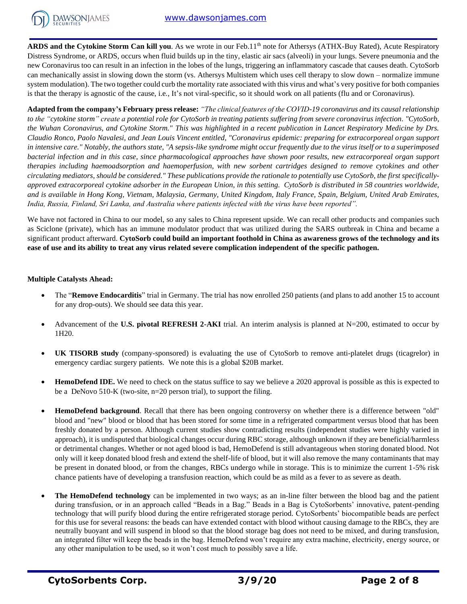

**ARDS and the Cytokine Storm Can kill you**. As we wrote in our Feb.11<sup>th</sup> note for Athersys (ATHX-Buy Rated), Acute Respiratory Distress Syndrome, or ARDS, occurs when fluid builds up in the tiny, elastic air sacs (alveoli) in your lungs. Severe pneumonia and the new Coronavirus too can result in an infection in the lobes of the lungs, triggering an inflammatory cascade that causes death. CytoSorb can mechanically assist in slowing down the storm (vs. Athersys Multistem which uses cell therapy to slow down – normalize immune system modulation). The two together could curb the mortality rate associated with this virus and what's very positive for both companies is that the therapy is agnostic of the cause, i.e., It's not viral-specific, so it should work on all patients (flu and or Coronavirus).

**Adapted from the company's February press release:** *"The clinical features of the COVID-19 coronavirus and its causal relationship to the "cytokine storm" create a potential role for CytoSorb in treating patients suffering from severe coronavirus infection. "CytoSorb, the Wuhan Coronavirus, and Cytokine Storm." This was highlighted in a recent publication in Lancet Respiratory Medicine by Drs. Claudio Ronco, Paolo Navalesi, and Jean Louis Vincent entitled, "Coronavirus epidemic: preparing for extracorporeal organ support in intensive care." Notably, the authors state, "A sepsis-like syndrome might occur frequently due to the virus itself or to a superimposed bacterial infection and in this case, since pharmacological approaches have shown poor results, new extracorporeal organ support therapies including haemoadsorption and haemoperfusion, with new sorbent cartridges designed to remove cytokines and other circulating mediators, should be considered." These publications provide the rationale to potentially use CytoSorb, the first specificallyapproved extracorporeal cytokine adsorber in the European Union, in this setting. CytoSorb is distributed in 58 countries worldwide, and is available in Hong Kong, Vietnam, Malaysia, Germany, United Kingdom, Italy France, Spain, Belgium, United Arab Emirates, India, Russia, Finland, Sri Lanka, and Australia where patients infected with the virus have been reported".*

We have not factored in China to our model, so any sales to China represent upside. We can recall other products and companies such as Sciclone (private), which has an immune modulator product that was utilized during the SARS outbreak in China and became a significant product afterward. **CytoSorb could build an important foothold in China as awareness grows of the technology and its ease of use and its ability to treat any virus related severe complication independent of the specific pathogen.**

## **Multiple Catalysts Ahead:**

- The "**Remove Endocarditis**" trial in Germany. The trial has now enrolled 250 patients (and plans to add another 15 to account for any drop-outs). We should see data this year.
- Advancement of the **U.S. pivotal REFRESH 2-AKI** trial. An interim analysis is planned at N=200, estimated to occur by 1H20.
- **UK TISORB study** (company-sponsored) is evaluating the use of CytoSorb to remove anti-platelet drugs (ticagrelor) in emergency cardiac surgery patients. We note this is a global \$20B market.
- **HemoDefend IDE.** We need to check on the status suffice to say we believe a 2020 approval is possible as this is expected to be a DeNovo 510-K (two-site, n=20 person trial), to support the filing.
- **HemoDefend background**. Recall that there has been ongoing controversy on whether there is a difference between "old" blood and "new" blood or blood that has been stored for some time in a refrigerated compartment versus blood that has been freshly donated by a person. Although current studies show contradicting results (independent studies were highly varied in approach), it is undisputed that biological changes occur during RBC storage, although unknown if they are beneficial/harmless or detrimental changes. Whether or not aged blood is bad, HemoDefend is still advantageous when storing donated blood. Not only will it keep donated blood fresh and extend the shelf-life of blood, but it will also remove the many contaminants that may be present in donated blood, or from the changes, RBCs undergo while in storage. This is to minimize the current 1-5% risk chance patients have of developing a transfusion reaction, which could be as mild as a fever to as severe as death.
- **The HemoDefend technology** can be implemented in two ways; as an in-line filter between the blood bag and the patient during transfusion, or in an approach called "Beads in a Bag." Beads in a Bag is CytoSorbents' innovative, patent-pending technology that will purify blood during the entire refrigerated storage period. CytoSorbents' biocompatible beads are perfect for this use for several reasons: the beads can have extended contact with blood without causing damage to the RBCs, they are neutrally buoyant and will suspend in blood so that the blood storage bag does not need to be mixed, and during transfusion, an integrated filter will keep the beads in the bag. HemoDefend won't require any extra machine, electricity, energy source, or any other manipulation to be used, so it won't cost much to possibly save a life.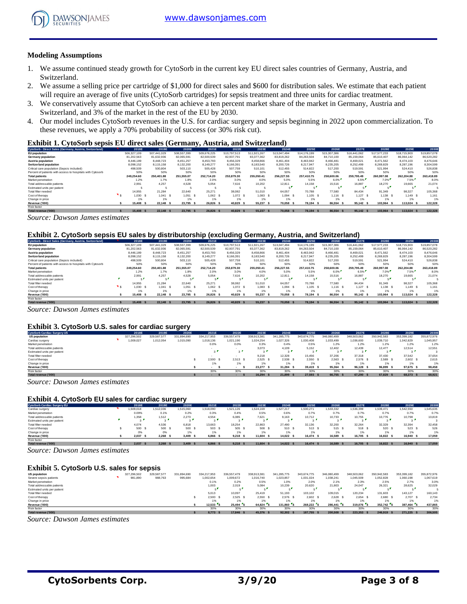

#### **Modeling Assumptions**

- 1. We assume continued steady growth for CytoSorb in the current key EU direct sales countries of Germany, Austria, and Switzerland.
- 2. We assume a selling price per cartridge of \$1,000 for direct sales and \$600 for distribution sales. We estimate that each patient will require an average of five units (CytoSorb cartridges) for sepsis treatment and three units for cardiac treatment.
- 3. We conservatively assume that CytoSorb can achieve a ten percent market share of the market in Germany, Austria and Switzerland, and 3% of the market in the rest of the EU by 2030.
- 4. Our model includes CytoSorb revenues in the U.S. for cardiac surgery and sepsis beginning in 2022 upon commercialization. To these revenues, we apply a 70% probability of success (or 30% risk cut).

#### **Exhibit 1. CytoSorb sepsis EU direct sales (Germany, Austria, and Switzerland)**

| CytoSorb - Direct Sales (Germany, Austria, Switzerland)    | 2018E       | 2019E       | 2020E         | 2021E       | 2022E       | 2023E       | 2024E       | 2025E       | 2026E       | 2027E          | 2028E       | 2029E       | 2030E       |
|------------------------------------------------------------|-------------|-------------|---------------|-------------|-------------|-------------|-------------|-------------|-------------|----------------|-------------|-------------|-------------|
| EU population                                              | 506,327,109 | 507.441.029 | 508,557,399   | 509.676.225 | 510.797.513 | 511.921.267 | 513.047.494 | 514.176.199 | 515.307.386 | 516.441.062    | 517.577.233 | 518,715,903 | 519,857,078 |
| Germany population                                         | 81.202.563  | 81.632.936  | 82.065.591    | 82,500,539  | 82.937.791  | 83.377.362  | 83.819.262  | 84.263.504  | 84.710.100  | 85.159.064     | 85.610.407  | 86.064.142  | 86,520,282  |
| Austria population                                         | 8.446.189   | 8.448.723   | 8.451.257     | 8.453.793   | 8.456.329   | 8,458,866   | 8.461.404   | 8.463.942   | 8.466.481   | 8,469,021      | 8.471.562   | 8.474.103   | 8,476,646   |
| <b>Switzerland population</b>                              | 8.098.152   | 8.115.158   | 8.132.200     | 8.149.277   | 8.166.391   | 8.183.540   | 8.200.726   | 8.217.947   | 8.235.205   | 8.252.499      | 8.269.829   | 8.287.196   | 8.304.599   |
| Critical care population (Sepsis included)                 | 498,509     | 500.804     | 503.110       | 505.428     | 507.759     | 510.101     | 512.455     | 514.822     | 517,200     | 519,591        | 521.994     | 524.410     | 526,838     |
| Percent of patients with access to hospitals with Cytosorb | 50%         | 50%         | 50%           | 50%         | 50%         | 50%         | 50%         | 50%         | 50%         | 50%            | 50%         | 50%         | 50%         |
| <b>Total patients</b>                                      | 249.254.60  | 250.401.88  | 251.555.07    | 252.714.20  | 253,879,30  | 255.050.41  | 256.227.55  | 257,410.75  | 258,600,06  | 259.795.49     | 260.997.08  | 262.204.88  | 263,418.89  |
| Market penetration                                         | 1.2%        | 1.7%        | 1.8%          | 2.0%        | 3.0%        | 4.0%        | 5.0%        | 5.5%        | 6.0%        | 6.5%           | 7.0%        | 7.5%        | 8.0%        |
| Total addressable patients                                 | 2.991       | 4.257       | 4.528         | 5.054       | 7.616       | 10.202      | 12.811      | 14.158      | 15,516      | 16.887         | 18.270      | 19.665      | 21.074      |
| Estimated units per patient                                |             |             |               |             |             |             |             |             |             | $\overline{a}$ |             |             |             |
| Total filter needed                                        | 14.955      | 21.284      | 22.640        | 25.271      | 38.082      | 51.010      | 64,057      | 70.788      | 77,580      | 84.434         | 91.349      | 98.327      | 105,368     |
| Cost of therapy                                            | 1.030       | 1.041 S     | 1.051<br>- 2  | 1.062 S     | 1.072 S     | $1.083$ \$  | 1.094       | 1.105 S     | $1.116$ S   | $1,127$ \$     | $1.138$ S   | 1.149 S     | 1.161       |
| Change in price                                            | 1%          | 1%          | 1%            | 1%          | 1%          | 1%          |             | 1%          | 1%          | 1%             | 1%          | 1%          | 1%          |
| Revenue ('000)                                             | 15,408      | 22.148 \$   | 23.795<br>- 5 | 26,826      | 40.829      | 55.237      | 70.058      | 78.194 S    | 86,554      | 95.142 \$      | 103.964 S   | 113.024 \$  | 122,328     |
| Risk factor                                                |             |             |               |             |             |             |             |             |             |                |             |             |             |
| Total revenue ('000)                                       | 15,408 S    | 22.148 \$   | 23.795 \$     | 26.826 S    | 40.829      | 55.237 \$   | 70.058 \$   | 78.194 S    | 86.554 \$   | 95.142 \$      | 103,964 S   | 113.024 \$  | 122.328     |

*Source: Dawson James estimates*

#### **Exhibit 2. CytoSorb sepsis EU sales by distributorship (excluding Germany, Austria, and Switzerland)**

| CytoSorb - Direct Sales (Germany, Austria, Switzerland)    | 2018E         | 2019E       | 2020E         | 2021E       | 2022E       | 2023E       | 2024E       | 2025E       | 2026E       | 2027E       | 2028E       | 2029E       | 2030E       |
|------------------------------------------------------------|---------------|-------------|---------------|-------------|-------------|-------------|-------------|-------------|-------------|-------------|-------------|-------------|-------------|
| <b>EU</b> population                                       | 506,327,109   | 507.441.029 | 508.557.399   | 509.676.225 | 510.797.513 | 511.921.267 | 513.047.494 | 514.176.199 | 515,307,386 | 516.441.062 | 517.577.233 | 518,715,903 | 519,857,078 |
| Germany population                                         | 81.202.563    | 81.632.936  | 82.065.591    | 82,500,539  | 82.937.791  | 83.377.362  | 83.819.262  | 84.263.504  | 84.710.100  | 85.159.064  | 85.610.407  | 86.064.142  | 86.520.282  |
| Austria population                                         | 8.446.189     | 8,448.723   | 8.451.257     | 8.453.793   | 8.456.329   | 8.458.866   | 8.461.404   | 8.463.942   | 8.466.481   | 8.469.021   | 8.471.562   | 8.474.103   | 8.476.646   |
| <b>Switzerland population</b>                              | 8.098.152     | 8.115.158   | 8.132.200     | 8.149.277   | 8.166.391   | 8.183.540   | 8,200,726   | 8.217.947   | 8.235.205   | 8.252.499   | 8.269.829   | 8.287.196   | 8.304.599   |
| Critical care population (Sepsis included)                 | 498,509       | 500.804     | 503.110       | 505.428     | 507.759     | 510,101     | 512.455     | 514.822     | 517.200     | 519.591     | 521.994     | 524.410     | 526.838     |
| Percent of patients with access to hospitals with Cytosorb | 50%           | 50%         | 50%           | 50%         | 50%         | 50%         | 50%         | 50%         | 50%         | 50%         | 50%         | 50%         | 50%         |
| <b>Total patients</b>                                      | 249.254.60    | 250,401.88  | 251.555.07    | 252.714.20  | 253.879.30  | 255,050,41  | 256.227.55  | 257,410.75  | 258,600,06  | 259.795.49  | 260.997.08  | 262.204.88  | 263,418.89  |
| Market penetration                                         | 1.2%          | 1.7%        | 1.8%          | 2.0%        | 3.0%        | 4.0%        | 5.0%        | 5.5%        | 6.0%        | 6.5%        | 7.0%        | 7.5%        | 8.0%        |
| Total addressable patients                                 | 2.991         | 4.257       | 4.528         | 5.054       | 7.616       | 10.202      | 12.811      | 14.158      | 15,516      | 16.887      | 18.270      | 19,665      | 21.074      |
| Estimated units per patient                                | $-$           |             |               |             | - 5         |             |             |             |             | - 1         |             |             |             |
| Total filter needed                                        | 14.955        | 21.284      | 22.640        | 25.271      | 38,082      | 51,010      | 64,057      | 70.788      | 77,580      | 84.434      | 91.349      | 98.327      | 105,368     |
| Cost of therapy                                            | 1.030         | 1.041       | 1.051         | 1.062 S     | 1.072 S     | 1.083       | 1.094       | 1.105S      | $1.116$ S   | $1,127$ \$  | 1.138 S     | 1.149 S     | 1.161       |
| Change in price                                            | 1%            | 1%          | 1%            | 1%          | 1%          | 1%          |             | 1%          | 1%          | 1%          | 1%          | 1%          | 1%          |
| Revenue ('000)                                             | 15,408<br>- 5 | 22.148 \$   | 23.795<br>- 5 | 26.826 S    | 40,829      | 55,237      | 70.058      | 78.194 S    | 86,554      | 95.142 \$   | 103.964 S   | 113.024 \$  | 122,328     |
| Risk factor                                                |               |             |               |             |             |             |             |             |             |             |             |             |             |
| Total revenue ('000)                                       | 15,408        | 22.148 \$   | 23,795        | 26,826      | 40.829      | 55,237      | 70.058      | 78.194 S    | 86,554      | 95.142      | 103.964 S   | 113,024     | 122.328     |

*Source: Dawson James estimates*

#### **Exhibit 3. CytoSorb U.S. sales for cardiac surgery**

| Exhibit 3. CytoSorb U.S. sales for cardiac surgery |  |             |             |             |             |               |             |             |             |             |             |             |             |             |
|----------------------------------------------------|--|-------------|-------------|-------------|-------------|---------------|-------------|-------------|-------------|-------------|-------------|-------------|-------------|-------------|
| <b>CytoSorb Cardiac Surgery US</b>                 |  | 2018E       | 2019E       | 2020E       | 2021E       | 2022E         | 2023E       | 2024E       | 2025E       | 2026E       | 2027E       | 2028E       | 2029E       | 2030E       |
| <b>US population</b>                               |  | 327.296.502 | 329,587,577 | 331.894.690 | 334.217.953 | 336,557,479   | 338,913,381 | 341,285,775 | 343.674.775 | 346,080,499 | 348,503,062 | 350,942,583 | 353,399,182 | 355,872,976 |
| Cardiac surgery                                    |  | 009,027     | 1,012,054   | 1.015.090   | 1.018.136   | 1.021.190     | 1.024.254   | 1.027.326   | 1.030.408   | 1.033.499   | 1.036.600   | 1,039,710   | 1.042.829   | 1.045.957   |
| Market penetration                                 |  |             |             |             | 0.0%        | 0.0%          | 0.3%        | 0.4%        | 0.5%        | 1.2%        | 1.2%        | 1.2%        | 1.2%        | 1.2%        |
| Total addressable patients                         |  |             |             |             |             |               | 3.073       | 4.109       | 5.152       | 12.402      | 12.439      | 12.477      | 12.514      | 12.551      |
| Estimated units per patient                        |  |             |             |             |             | $\sim$ $\sim$ | $\sim$      |             |             | $\sim$      | $\sim$      | $\sim$      | $\sim$      |             |
| Total filter needed                                |  |             |             |             |             |               | 9.218       | 12.328      | 15.456      | 37.206      | 37,318      | 37,430      | 37.542      | 37.654      |
| Cost of therapy                                    |  |             |             |             | 2.500       | 2.513         | 2.525       | 2.538       | 2.550 S     | 2.563S      | 2.576 S     | 2.589 S     | 2.602 S     | 2.615       |
| Change in price                                    |  |             |             |             | 1%          | 1%            | 1%          | 1%          | 1%          | 1%          | 1%          | 1%          | 1%          | 1%          |
| Revenue ('000)                                     |  |             |             |             |             | $\sim$        | 23.277 \$   | 31.284 \$   | 39.419 S    | 95.364 \$   | 96.128 \$   | 96.899 S    | 97.675 \$   | 98,458      |
| Risk factor                                        |  |             |             |             | 30%         | 30%           | 30%         | 30%         | 30%         | 30%         | 30%         | 30%         | 30%         | 30%         |
| Total revenue ('000)                               |  |             |             |             | . .         |               | 16.294 \$   | 21,899 \$   | 27.593 \$   | 66.755 \$   | 67.290 \$   | 67.829 S    | 68,373 \$   | 68,921      |

*Source: Dawson James estimates*

#### **Exhibit 4. CytoSorb EU sales for cardiac surgery**

| <b>Exhibit 4. CytoSorb EU sales for cardiac surgery</b> |  |          |           |           |           |              |           |           |          |           |           |           |           |           |
|---------------------------------------------------------|--|----------|-----------|-----------|-----------|--------------|-----------|-----------|----------|-----------|-----------|-----------|-----------|-----------|
| <b>CytoSorb Cardiac Surgery EU</b>                      |  | 2018E    | 2019E     | 2020E     | 2021E     | 2022E        | 2023E     | 2024E     | 2025E    | 2026E     | 2027E     | 2028E     | 2029E     | 2030E     |
| Cardiac surgery                                         |  | .509.018 | 1.512.036 | 1.515.060 | 1.518.090 | 1,521,126    | 1,524,169 | 1.527.217 | .530.271 | 1,533,332 | 1,536,399 | 1.539.471 | 1.542.550 | 1.545.635 |
| Market penetration                                      |  | 0.09%    | 0.1%      | 0.2%      | 0.3%      | 0.4%         | 0.5%      | 0.6%      | 0.7%     | 0.7%      | 0.7%      | 0.7%      | 0.7%      | 0.7%      |
| Total addressable patients                              |  | 1.358    | 1,512     | 2.273     | 4.554     | 6.085        | 7.621     | 9.163     | 10.712   | 10.733    | 10.755    | 10.776    | 10.798    | 10,819    |
| Estimated units per patient                             |  | - 1      | $\sim$    |           |           | $\sim$       | $\sim$    | $\sim$    |          | $\sim$    | $\sim$    |           | $\sim$    |           |
| Total filter needed                                     |  | 4.074    | 4.536     | 6,818     | 13.663    | 18.254       | 22.863    | 27,490    | 32.136   | 32.200    | 32.264    | 32.329    | 32.394    | 32.458    |
| Cost of therapy                                         |  | 500 \$   | 500 \$    | 500 S     | 503       | 505          | 508 \$    | 510 S     | 513 S    | 515 \$    | 518 S     | 520       | 523 \$    | 526       |
| Change in price                                         |  | 0%       | 0%        | 1%        | 1%        | 1%           | 1%        |           | 1%       | 1%        | 1%        | 1%        | 1%        | 1%        |
| Revenue ('000)                                          |  | 2.037    | 2.268 S   | 3.409     | 6.866 S   | 9.218        | 11.604 \$ | 14.022 \$ | 16.474 S | 16.589 \$ | 16.705 \$ | 16.822 S  | 16,940 \$ | 17,059    |
| Risk factor                                             |  |          |           |           |           |              |           |           |          |           |           |           |           |           |
| Total revenue ('000)                                    |  | 2.037    | 2.268     | 3.409     | 6,866     | 9,218<br>- 5 | 11,604    | 14.022 \$ | 16,474 S | 16.589 S  | 16,705    | 16.822 S  | 16,940    | 17,059    |

*Source: Dawson James estimates*

#### **Exhibit 5. CytoSorb U.S. sales for sepsis**

| <b>Exhibit 5. CytoSorb U.S. sales for sepsis</b> |  |             |             |             |             |             |             |             |             |             |             |             |             |             |
|--------------------------------------------------|--|-------------|-------------|-------------|-------------|-------------|-------------|-------------|-------------|-------------|-------------|-------------|-------------|-------------|
| <b>US population</b>                             |  | 327.296.502 | 329,587,577 | 331.894.690 | 334.217.953 | 336.557.479 | 338.913.381 | 341.285.775 | 343.674.775 | 346,080,499 | 348.503.062 | 350.942.583 | 353,399.182 | 355,872,976 |
| Severe sepsis patients                           |  | 981,890     | 988,763     | 995,684     | 1.002.654   | 1,009,672   | 1.016.740   | 1,023,857   | 1.031.024   | 1.038.241   | 1.045.509   | 1,052,828   | 1.060.198   | 1.067.619   |
| Market penetration                               |  |             |             |             | 0.1%        | 0.2%        | 0.5%        | 1.0%        | 2.0%        | 2.1%        | 2.3%        | 2.5%        | 2.7%        | 3.0%        |
| Total addressable patients                       |  |             |             |             | 1.003       | 2.019       | 5,084       | 10.239      | 20,620      | 21,803      | 24,047      | 26,321      | 28,625      | 32,029      |
| Estimated units per patient                      |  |             |             |             |             |             | - 1         |             |             |             | к.          |             |             |             |
| Total filter needed                              |  |             |             |             | 5.013       | 10.097      | 25.419      | 51.193      | 103.102     | 109,015     | 120.234     | 131.603     | 143.127     | 160.143     |
| Cost of therapy                                  |  |             |             |             | 2.500 S     | 2.525       | $2.550$ \$  | 2.576 S     | 2.602 S     | 2.628 S     | 2.654 S     | 2.680 S     | 2.707 \$    | 2.734       |
| Change in price                                  |  |             |             |             |             | 1%          | 1%          |             | 1%          | 1%          | 1%          | 1%          |             | 1%          |
| Revenue ('000)                                   |  |             |             |             | $12.533$ S  | $25.494$ S  | 64.824 S    | 131,860     | 268.222 S   | 286.441 S   | 319,076 S   | 352.742     | 387.464 S   | 437,865     |
| Risk factor                                      |  |             |             |             | 30%         | 30%         | 30%         | 30%         | 30%         | 30%         | 30%         | 30%         | 30%         | 30%         |
| Total revenue ('000)                             |  |             |             |             | 8.773 S     | 17,846      | 45.376 \$   | 92.302      | 187,755 \$  | 200,508 \$  | 223.353     | 246,919 S   | 271.225 \$  | 306,505     |

*Source: Dawson James estimates*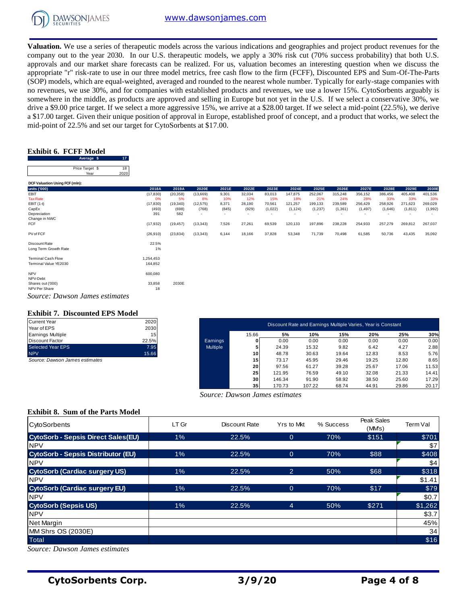

**Valuation.** We use a series of therapeutic models across the various indications and geographies and project product revenues for the company out to the year 2030. In our U.S. therapeutic models, we apply a 30% risk cut (70% success probability) that both U.S. approvals and our market share forecasts can be realized. For us, valuation becomes an interesting question when we discuss the appropriate "r" risk-rate to use in our three model metrics, free cash flow to the firm (FCFF), Discounted EPS and Sum-Of-The-Parts (SOP) models, which are equal-weighted, averaged and rounded to the nearest whole number. Typically for early-stage companies with no revenues, we use 30%, and for companies with established products and revenues, we use a lower 15%. CytoSorbents arguably is somewhere in the middle, as products are approved and selling in Europe but not yet in the U.S. If we select a conservative 30%, we drive a \$9.00 price target. If we select a more aggressive 15%, we arrive at a \$28.00 target. If we select a mid-point (22.5%), we derive a \$17.00 target. Given their unique position of approval in Europe, established proof of concept, and a product that works, we select the mid-point of 22.5% and set our target for CytoSorbents at \$17.00.

## **Exhibit 6. FCFF Model**

| .                     |                         |            |
|-----------------------|-------------------------|------------|
| Exhibit 6. FCFF Model |                         |            |
|                       | Average \$              |            |
|                       | Price Target \$<br>Year | 18<br>2020 |

| Average \$<br>- 17             |           |           |                          |       |                          |         |                          |                          |         |          |         |                          |         |
|--------------------------------|-----------|-----------|--------------------------|-------|--------------------------|---------|--------------------------|--------------------------|---------|----------|---------|--------------------------|---------|
| Price Target \$<br>18          |           |           |                          |       |                          |         |                          |                          |         |          |         |                          |         |
| 2020<br>Year                   |           |           |                          |       |                          |         |                          |                          |         |          |         |                          |         |
| DCF Valuation Using FCF (mln): |           |           |                          |       |                          |         |                          |                          |         |          |         |                          |         |
| units ('000)                   | 2018A     | 2019A     | 2020E                    | 2021E | 2022E                    | 2023E   | 2024E                    | 2025E                    | 2026E   | 2027E    | 2028E   | 2029E                    | 2030E   |
| EBIT                           | (17, 830) | (20, 358) | (13,669)                 | 9,301 | 32,034                   | 83,013  | 147,875                  | 252,067                  | 315,248 | 356,152  | 386,456 | 405,408                  | 401,536 |
| <b>Tax Rate</b>                | 0%        | 5%        | 8%                       | 10%   | 12%                      | 15%     | 18%                      | 21%                      | 24%     | 28%      | 33%     | 33%                      | 33%     |
| EBIT (1-t)                     | (17, 830) | (19, 340) | (12, 575)                | 8,371 | 28,190                   | 70,561  | 121,257                  | 199,133                  | 239,589 | 256,429  | 258,926 | 271,623                  | 269,029 |
| CapEx                          | (493)     | (698)     | (768)                    | (845) | (929)                    | (1,022) | (1, 124)                 | (1,237)                  | (1,361) | (1, 497) | (1,646) | (1, 811)                 | (1,992) |
| Depreciation                   | 391       | 582       | $\overline{\phantom{a}}$ |       | $\overline{\phantom{a}}$ |         | $\overline{\phantom{a}}$ | $\overline{\phantom{a}}$ | . .     |          |         | $\overline{\phantom{a}}$ |         |
| Change in NWC                  |           |           |                          |       |                          |         |                          |                          |         |          |         |                          |         |
| FCF                            | (17, 932) | (19, 457) | (13, 343)                | 7,526 | 27,261                   | 69,539  | 120,133                  | 197,896                  | 238,228 | 254,933  | 257,279 | 269,812                  | 267,037 |
| PV of FCF                      | (26, 910) | (23, 834) | (13, 343)                | 6,144 | 18,166                   | 37,828  | 53,348                   | 71,739                   | 70,498  | 61,585   | 50,736  | 43,435                   | 35,092  |
| Discount Rate                  | 22.5%     |           |                          |       |                          |         |                          |                          |         |          |         |                          |         |
| Long Term Growth Rate          | $1\%$     |           |                          |       |                          |         |                          |                          |         |          |         |                          |         |
| <b>Terminal Cash Flow</b>      | 1,254,453 |           |                          |       |                          |         |                          |                          |         |          |         |                          |         |
| Terminal Value YE2030          | 164,852   |           |                          |       |                          |         |                          |                          |         |          |         |                          |         |
| <b>NPV</b>                     | 600,080   |           |                          |       |                          |         |                          |                          |         |          |         |                          |         |
| NPV-Debt                       |           |           |                          |       |                          |         |                          |                          |         |          |         |                          |         |
| Shares out ('000)              | 33,858    | 2030E     |                          |       |                          |         |                          |                          |         |          |         |                          |         |
| NPV Per Share                  | 18        |           |                          |       |                          |         |                          |                          |         |          |         |                          |         |
| Source: Dawson James estimates |           |           |                          |       |                          |         |                          |                          |         |          |         |                          |         |

## **Exhibit 7. Discounted EPS Model**

| <b>Current Year</b>      | 2020  |
|--------------------------|-------|
| Year of EPS              | 2030  |
| <b>Earnings Multiple</b> | 15    |
| <b>Discount Factor</b>   | 22.5% |
| Selected Year EPS        | 7.95  |
| <b>NPV</b>               | 15.66 |

| <b>Exhibit 7. Discounted EPS Model</b><br>Current Year | 2020  |                 |                 |        | Discount Rate and Earnings Multiple Varies, Year is Constant |       |       |       |       |
|--------------------------------------------------------|-------|-----------------|-----------------|--------|--------------------------------------------------------------|-------|-------|-------|-------|
| Year of EPS                                            | 2030  |                 |                 |        |                                                              |       |       |       |       |
| Earnings Multiple                                      | 15    |                 | 15.66           | 5%     | 10%                                                          | 15%   | 20%   | 25%   | 30%   |
| Discount Factor                                        | 22.5% | Earnings        |                 | 0.00   | 0.00                                                         | 0.00  | 0.00  | 0.00  | 0.00  |
| Selected Year EPS                                      | 7.95  | <b>Multiple</b> |                 | 24.39  | 15.32                                                        | 9.82  | 6.42  | 4.27  | 2.88  |
| <b>NPV</b>                                             | 15.66 |                 | 10 <sup>1</sup> | 48.78  | 30.63                                                        | 19.64 | 12.83 | 8.53  | 5.76  |
| Source: Dawson James estimates                         |       |                 | 15              | 73.17  | 45.95                                                        | 29.46 | 19.25 | 12.80 | 8.65  |
|                                                        |       |                 | 20              | 97.56  | 61.27                                                        | 39.28 | 25.67 | 17.06 | 11.53 |
|                                                        |       |                 | 25              | 121.95 | 76.59                                                        | 49.10 | 32.08 | 21.33 | 14.41 |
|                                                        |       |                 | 30 <sub>1</sub> | 146.34 | 91.90                                                        | 58.92 | 38.50 | 25.60 | 17.29 |
|                                                        |       |                 | 35 <sub>1</sub> | 170.73 | 107.22                                                       | 68.74 | 44.91 | 29.86 | 20.17 |

## **Exhibit 8. Sum of the Parts Model**

| a φ17.00 target. On the time angue position or approval in Europe, coulombied proof or concept, and a product that works, we select the<br>mid-point of 22.5% and set our target for CytoSorbents at \$17.00. |                      |                    |                    |                |                                      |                          |                          |                          |                                                              |                          |                    |                     |                    |
|---------------------------------------------------------------------------------------------------------------------------------------------------------------------------------------------------------------|----------------------|--------------------|--------------------|----------------|--------------------------------------|--------------------------|--------------------------|--------------------------|--------------------------------------------------------------|--------------------------|--------------------|---------------------|--------------------|
|                                                                                                                                                                                                               |                      |                    |                    |                |                                      |                          |                          |                          |                                                              |                          |                    |                     |                    |
| <b>Exhibit 6. FCFF Model</b><br>Average \$<br>17                                                                                                                                                              |                      |                    |                    |                |                                      |                          |                          |                          |                                                              |                          |                    |                     |                    |
| 18<br>Price Target \$<br>2020<br>Year                                                                                                                                                                         |                      |                    |                    |                |                                      |                          |                          |                          |                                                              |                          |                    |                     |                    |
| DCF Valuation Using FCF (mln):                                                                                                                                                                                |                      |                    |                    |                |                                      |                          |                          |                          |                                                              |                          |                    |                     |                    |
| units ('000)<br>EBIT                                                                                                                                                                                          | 2018A<br>(17, 830)   | 2019A<br>(20, 358) | 2020E<br>(13,669)  | 2021E<br>9,301 | 2022E<br>32,034                      | 2023E<br>83,013          | 2024E<br>147,875         | 2025E<br>252,067         | 2026E<br>315,248                                             | 2027E<br>356,152         | 2028E<br>386,456   | 2029E<br>405,408    | 2030E<br>401,536   |
| <b>Tax Rate</b>                                                                                                                                                                                               | 0%                   | 5%                 | 8%                 | 10%            | 12%                                  | 15%                      | 18%                      | 21%                      | 24%                                                          | 28%                      | 33%                | 33%                 | 33%                |
| EBIT (1-t)<br>CapEx                                                                                                                                                                                           | (17, 830)<br>(493)   | (19, 340)<br>(698) | (12, 575)<br>(768) | 8,371<br>(845) | 28,190<br>(929)                      | 70,561<br>(1,022)        | 121,257<br>(1, 124)      | 199,133<br>(1, 237)      | 239,589<br>(1, 361)                                          | 256,429<br>(1, 497)      | 258,926<br>(1,646) | 271,623<br>(1, 811) | 269,029<br>(1,992) |
| Depreciation<br>Change in NWC                                                                                                                                                                                 | 391                  | 582                |                    |                | $\overline{\phantom{a}}$             | $\overline{\phantom{a}}$ | $\overline{\phantom{a}}$ | $\overline{\phantom{a}}$ |                                                              | $\overline{\phantom{a}}$ |                    |                     |                    |
| FCF                                                                                                                                                                                                           | (17, 932)            | (19, 457)          | (13, 343)          | 7,526          | 27,261                               | 69,539                   | 120,133                  | 197,896                  | 238,228                                                      | 254,933                  | 257,279            | 269,812             | 267,037            |
| PV of FCF                                                                                                                                                                                                     | (26, 910)            | (23, 834)          | (13, 343)          | 6,144          | 18,166                               | 37,828                   | 53,348                   | 71,739                   | 70,498                                                       | 61,585                   | 50,736             | 43,435              | 35,092             |
| Discount Rate<br>Long Term Growth Rate                                                                                                                                                                        | 22.5%<br>1%          |                    |                    |                |                                      |                          |                          |                          |                                                              |                          |                    |                     |                    |
| <b>Terminal Cash Flow</b><br>Terminal Value YE2030                                                                                                                                                            | 1,254,453<br>164,852 |                    |                    |                |                                      |                          |                          |                          |                                                              |                          |                    |                     |                    |
| <b>NPV</b><br>NPV-Debt                                                                                                                                                                                        | 600,080              |                    |                    |                |                                      |                          |                          |                          |                                                              |                          |                    |                     |                    |
| Shares out ('000)<br>NPV Per Share                                                                                                                                                                            | 33,858<br>18         | 2030E              |                    |                |                                      |                          |                          |                          |                                                              |                          |                    |                     |                    |
| Source: Dawson James estimates                                                                                                                                                                                |                      |                    |                    |                |                                      |                          |                          |                          |                                                              |                          |                    |                     |                    |
| <b>Exhibit 7. Discounted EPS Model</b>                                                                                                                                                                        |                      |                    |                    |                |                                      |                          |                          |                          |                                                              |                          |                    |                     |                    |
| <b>Current Year</b>                                                                                                                                                                                           | 2020                 |                    |                    |                |                                      |                          |                          |                          | Discount Rate and Earnings Multiple Varies, Year is Constant |                          |                    |                     |                    |
| Year of EPS                                                                                                                                                                                                   | 2030                 |                    |                    |                |                                      |                          |                          |                          |                                                              |                          |                    |                     |                    |
| <b>Earnings Multiple</b><br><b>Discount Factor</b>                                                                                                                                                            | 15<br>22.5%          |                    |                    | Earnings       | 15.66<br>0                           |                          | 5%<br>0.00               | 10%<br>0.00              | 15%<br>0.00                                                  | 20%<br>0.00              |                    | 25%<br>0.00         | 30%<br>0.00        |
| Selected Year EPS                                                                                                                                                                                             | 7.95                 |                    |                    | Multiple       | 5                                    |                          | 24.39                    | 15.32                    | 9.82                                                         | 6.42                     |                    | 4.27                | 2.88               |
| <b>NPV</b>                                                                                                                                                                                                    | 15.66                |                    |                    |                | 10                                   |                          | 48.78                    | 30.63                    | 19.64                                                        | 12.83                    |                    | 8.53                | 5.76               |
| Source: Dawson James estimates                                                                                                                                                                                |                      |                    |                    |                | 15<br>20                             |                          | 73.17<br>97.56           | 45.95<br>61.27           | 29.46<br>39.28                                               | 19.25<br>25.67           |                    | 12.80<br>17.06      | 8.65<br>11.53      |
|                                                                                                                                                                                                               |                      |                    |                    |                | 25                                   | 121.95                   |                          | 76.59                    | 49.10                                                        | 32.08                    |                    | 21.33               | 14.41              |
|                                                                                                                                                                                                               |                      |                    |                    |                | 30                                   | 146.34                   |                          | 91.90                    | 58.92                                                        | 38.50                    |                    | 25.60               | 17.29              |
|                                                                                                                                                                                                               |                      |                    |                    |                | 35<br>Source: Dawson James estimates | 170.73                   |                          | 107.22                   | 68.74                                                        | 44.91                    |                    | 29.86               | 20.17              |
|                                                                                                                                                                                                               |                      |                    |                    |                |                                      |                          |                          |                          |                                                              |                          |                    |                     |                    |
| <b>Exhibit 8. Sum of the Parts Model</b>                                                                                                                                                                      |                      |                    |                    |                |                                      |                          |                          |                          |                                                              |                          | Peak Sales         |                     |                    |
| CytoSorbents                                                                                                                                                                                                  |                      | LT Gr              |                    |                | <b>Discount Rate</b>                 |                          | Yrs to Mkt               |                          | % Success                                                    |                          | (MMs)              | Term Val            |                    |
| <b>CytoSorb - Sepsis Direct Sales(EU)</b><br><b>NPV</b>                                                                                                                                                       |                      | 1%                 |                    |                | 22.5%                                |                          | $\overline{0}$           |                          | 70%                                                          | \$151                    |                    |                     | \$701<br>\$7       |
| <b>CytoSorb - Sepsis Distributor (EU)</b>                                                                                                                                                                     |                      | 1%                 |                    |                | 22.5%                                |                          | $\overline{0}$           |                          | 70%                                                          |                          | \$88               |                     | \$408              |
| <b>NPV</b>                                                                                                                                                                                                    |                      |                    |                    |                |                                      |                          |                          |                          |                                                              |                          |                    |                     | \$4                |
| <b>CytoSorb (Cardiac surgery US)</b>                                                                                                                                                                          |                      | $1\%$              |                    |                | 22.5%                                |                          | $\overline{2}$           |                          | 50%                                                          |                          | \$68               |                     | \$318              |
| <b>NPV</b>                                                                                                                                                                                                    |                      |                    |                    |                |                                      |                          |                          |                          |                                                              |                          |                    |                     | \$1.41             |
| <b>CytoSorb (Cardiac surgery EU)</b>                                                                                                                                                                          |                      | 1%                 |                    |                | 22.5%                                |                          | $\overline{O}$           |                          | 70%                                                          |                          | \$17               |                     | \$79               |
| <b>NPV</b>                                                                                                                                                                                                    |                      |                    |                    |                |                                      |                          |                          |                          |                                                              |                          |                    |                     | \$0.7              |
| <b>CytoSorb (Sepsis US)</b>                                                                                                                                                                                   |                      | $1\%$              |                    |                | 22.5%                                |                          | $\overline{4}$           |                          | 50%                                                          | \$271                    |                    |                     | \$1,262            |
| <b>NPV</b>                                                                                                                                                                                                    |                      |                    |                    |                |                                      |                          |                          |                          |                                                              |                          |                    |                     | \$3.7              |
| Net Margin                                                                                                                                                                                                    |                      |                    |                    |                |                                      |                          |                          |                          |                                                              |                          |                    |                     | 45%                |
| MM Shrs OS (2030E)                                                                                                                                                                                            |                      |                    |                    |                |                                      |                          |                          |                          |                                                              |                          |                    |                     | 34                 |
| Total                                                                                                                                                                                                         |                      |                    |                    |                |                                      |                          |                          |                          |                                                              |                          |                    |                     | \$16               |
| Source: Dawson James estimates                                                                                                                                                                                |                      |                    |                    |                |                                      |                          |                          |                          |                                                              |                          |                    |                     |                    |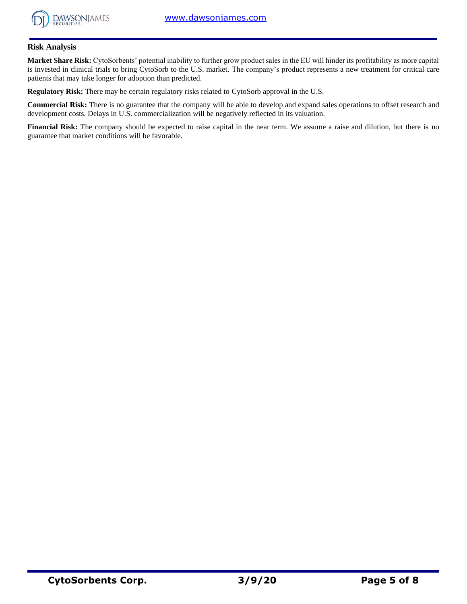

## **Risk Analysis**

**Market Share Risk:** CytoSorbents' potential inability to further grow product sales in the EU will hinder its profitability as more capital is invested in clinical trials to bring CytoSorb to the U.S. market. The company's product represents a new treatment for critical care patients that may take longer for adoption than predicted.

**Regulatory Risk:** There may be certain regulatory risks related to CytoSorb approval in the U.S.

**Commercial Risk:** There is no guarantee that the company will be able to develop and expand sales operations to offset research and development costs. Delays in U.S. commercialization will be negatively reflected in its valuation.

**Financial Risk:** The company should be expected to raise capital in the near term. We assume a raise and dilution, but there is no guarantee that market conditions will be favorable.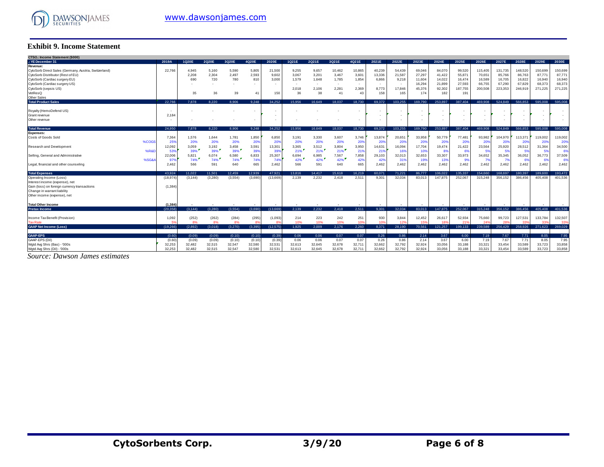

### **Exhibit 9. Income Statement**

| <b>Exhibit 9. Income Statement</b>                                                         |                     |                |                |                |                |                 |                |                          |                 |                 |                          |                           |                  |                  |                 |                   |                   |                   |                   |                   |
|--------------------------------------------------------------------------------------------|---------------------|----------------|----------------|----------------|----------------|-----------------|----------------|--------------------------|-----------------|-----------------|--------------------------|---------------------------|------------------|------------------|-----------------|-------------------|-------------------|-------------------|-------------------|-------------------|
| CTSO.: Income Statement (\$000)                                                            |                     |                |                |                |                |                 |                |                          |                 |                 |                          |                           |                  |                  |                 |                   |                   |                   |                   |                   |
| : YE December 31                                                                           | 2019A               | 1Q20E          | 2Q20E          | 3Q20E          | 4020E          | 2020E           | 1Q21E          | 2Q21E                    | 3Q21E           | 4Q21E           | 2021E                    | 2022E                     | 2023E            | 2024E            | 2025E           | 2026E             | 2027E             | 2028E             | 2029E             | 2030E             |
| Revenue:                                                                                   |                     |                |                |                |                |                 |                |                          |                 |                 |                          |                           |                  |                  |                 |                   |                   |                   |                   |                   |
| CytoSorb Direct Sales (Germany, Austria, Switzerland)<br>CytoSorb Distributor (Rest of EU) | 22,766              | 4.945<br>2,208 | 5.160<br>2,304 | 5,590<br>2,497 | 5,805<br>2,593 | 21,500<br>9,602 | 9,255<br>3,067 | 9,657<br>3,20'           | 10,462<br>3,467 | 10,865<br>3,601 | 40,239<br>13,336         | 54,439<br>21,587          | 69,046<br>27,297 | 84.070<br>41.422 | 99,520<br>55,87 | 115,405<br>70,651 | 131,735<br>85,766 | 148,520<br>86,763 | 150,699<br>87,771 | 150,699<br>87,771 |
| CytoSorb (Cardiac surgery EU)                                                              |                     | 690            | 720            | 780            | 810            | 3.000           | 1,579          | 1,648                    | 1,785           | 1,854           | 6,866                    | 9,218                     | 11,604           | 14.022           | 16,474          | 16,589            | 16,705            | 16,822            | 16,940            | 16,940            |
| CytoSorb (Cardiac surgery US)                                                              |                     |                |                | $\sim$         |                |                 |                | $\overline{\phantom{a}}$ | . .             |                 | $\sim$                   | $\sim$                    | 16,294           | 21,899           | 27,593          | 66,755            | 67,290            | 67,829            | 68,373            | 68,373            |
| CytoSorb (sepsis US)                                                                       |                     |                |                |                |                |                 | 2.018          | 2,106                    | 2,281           | 2.369           | 8,773                    | 17.846                    | 45,376           | 92,302           | 187,755         | 200,508           | 223,353           | 246.919           | 271,225           | 271,225           |
| VetResQ                                                                                    |                     | 35             | 36             | 39             | 41             | 150             | 36             | 38                       | 41              | 43              | 158                      | 165                       | 174              | 182              | 191             |                   |                   |                   |                   |                   |
| Other Sales                                                                                |                     |                |                |                |                |                 |                |                          |                 |                 |                          |                           |                  |                  |                 |                   |                   |                   | 595.008           |                   |
| <b>Total Product Sales</b>                                                                 | 22.766              | 7.878          | 8.220          | 8.906          | 9.248          | 34.252          | 15.956         | 16.649                   | 18.037          | 18.730          | 69.372                   | 103.255                   | 169.790          | 253.897          | 387.404         | 469,908           | 524.849           | 566.853           |                   | 595,008           |
| Royalty (HemoDefend US)                                                                    |                     |                |                |                |                |                 |                |                          |                 |                 | ٠.                       | ٠                         |                  |                  |                 |                   |                   |                   |                   |                   |
| Grant revenue                                                                              | 2.184               |                |                |                |                |                 |                |                          |                 |                 | ٠.                       |                           |                  |                  |                 |                   |                   |                   |                   |                   |
| Other revenue                                                                              |                     |                |                |                |                |                 |                |                          |                 |                 | $\overline{\phantom{a}}$ | ٠                         |                  |                  | . .             | ٠                 |                   |                   |                   |                   |
| <b>Total Revenue</b>                                                                       | 24.950              | 7.878          | 8.220          | 8.906          | 9.248          | 34.252          | 15.956         | 16.649                   | 18.037          | 18,730          | 69.372                   | 103.255                   | 169.790          | 253.897          | 387.404         | 469.908           | 524.849           | 566.853           | 595,008           | 595,008           |
| <b>Expenses:</b>                                                                           |                     |                |                |                |                |                 |                |                          |                 |                 |                          |                           |                  |                  |                 |                   |                   |                   |                   |                   |
| Costs of Goods Sold                                                                        | 7,364               | 1,576          | 1,644          | 1,781          | 1,850          | 6,850           | 3.191          | 3,330                    | 3,607           | 3.746           | 13,874                   | 20,651                    | 33,958           | 50.779           | 77.481          | 93.982            | 104.970           | 113,371           | 119,002           | 119,002           |
| %COGS                                                                                      | 25%                 | 20%            | 20%            | 20%            | 20%            | 20%             | 20%            | 20%                      | 20%             | 20%             | 20%                      | 20%                       | 20%              | 20%              | 20%             | 20%               | 20%               | 20%               | 20%               | 20%               |
| Research and Development                                                                   | 12,092              | 3,059          | 3,192          | 3,458          | 3,591          | 13,301          | 3,365          | 3,512                    | 3,804           | 3,950           | 14,631                   | 16,094                    | 17,704           | 19,474           | 21,422          | 23,564            | 25,920            | 28,512            | 31,364            | 34,500            |
| %R&D                                                                                       | 53%                 | $39\%$         | 39%            | 39%            | 39%            | 399             | 21%            | 21%                      | 21%             | 219             | 219                      | 169                       | 10%              | 8%               | 6%              | 5%                |                   | 59                | 53                | 6%                |
| Selling, General and Administrative<br>%SG&                                                | 22,006<br>979       | 5,821<br>74%   | 6,074<br>74%   | 6,580<br>74%   | 6,833<br>74%   | 25,307<br>74%   | 6,694<br>42%   | 6,985<br>42%             | 7,567<br>42%    | 7,858<br>429    | 29,103<br>429            | 32,013<br>31 <sup>5</sup> | 32,653<br>19%    | 33,307<br>13%    | 33,973<br>9%    | 34,652            | 35,345<br>-79     | 36,052<br>69      | 36,773            | 37,509<br>6%      |
| Legal, financial and other counseling                                                      | 2,462               | 566            | 591            | 640            | 665            | 2,462           | 566            | 591                      | 640             | 665             | 2.462                    | 2,462                     | 2,462            | 2,462            | 2,462           | 2.462             | 2.462             | 2,462             | 2.462             | 2,462             |
|                                                                                            |                     |                |                |                |                |                 |                |                          |                 |                 |                          |                           |                  |                  |                 |                   |                   |                   |                   |                   |
| <b>Total Expenses</b>                                                                      | 43.924              | 11.022         | 11.501         | 12.459         | 12.939         | 47.921          | 13.816         | 14.417                   | 15.618          | 16.219          | 60.071                   | 71.221                    | 86,777           | 106.022          | 135.337         | 154.660           | 168.697           | 180.397           | 189,600           | 193.472           |
| Operating Income (Loss)                                                                    | (18, 974)           | (3.144)        | (3,280)        | (3,554)        | (3.690)        | (13.669)        | 2.139          | 2,232                    | 2.418           | 2.511           | 9.301                    | 32.034                    | 83.013           | 147.875          | 252.067         | 315,248           | 356.152           | 386.456           | 405.408           | 401,536           |
| Interest income (expense), net<br>Gain (loss) on foreign currency transactions             | (1.384)             |                |                |                |                |                 |                |                          |                 |                 |                          |                           |                  |                  |                 |                   |                   |                   |                   |                   |
| Change in warrant liability                                                                |                     |                |                |                |                |                 |                |                          |                 |                 |                          |                           |                  |                  |                 |                   |                   |                   |                   |                   |
| Other income (expense), net                                                                |                     |                |                |                |                |                 |                |                          |                 |                 |                          |                           |                  |                  |                 |                   |                   |                   |                   |                   |
|                                                                                            |                     |                |                |                |                |                 |                |                          |                 |                 |                          |                           |                  |                  |                 |                   |                   |                   |                   |                   |
| <b>Total Other Income</b><br><b>Pretax Income</b>                                          | (1.384)<br>(20.358) | (3.144)        | (3.280)        | (3.554)        | (3.690)        | (13.669)        | 2.139          | 2.232                    | 2.418           | 2.511           | 9.301                    | 32.034                    | 83.013           | 147.875          | 252.067         | 315.248           | 356,152           | 386.456           | 405.408           | 401.536           |
|                                                                                            |                     |                |                |                |                |                 |                |                          |                 |                 |                          |                           |                  |                  |                 |                   |                   |                   |                   |                   |
| Income Tax Benefit (Provision)                                                             | 1,092               | (252)          | (262)          | (284)          | (295)          | (1,093)         | 214            | 223                      | 242             | 251             | 930                      | 3,844                     | 12,452           | 26,617           | 52,934          | 75,660            | 99,723            | 127,531           | 133.784           | 132,507           |
| <b>Tax Rate</b>                                                                            | $\overline{a}$      | 8%             | 8%             | 8%             | $\mathbf{a}$   |                 | 10%            | 10%                      | 10%             | 10%             | 10 <sup>1</sup>          | 12'                       | 159              | 18%              | 21 <sup>1</sup> |                   | 28                | 33                | 33                | 339               |
| <b>GAAP Net Income (Loss)</b>                                                              | (19, 266)           | (2.892)        | (3.018)        | (3,270)        | (3,395)        | (12, 575)       | 1.925          | 2.009                    | 2.176           | 2.260           | 8,371                    | 28,190                    | 70,561           | 121.257          | 199,133         | 239.589           | 256,429           | 258,926           | 271,623           | 269,029           |
| <b>GAAP-EPS</b>                                                                            | (0.60)              | (0.09)         | (0.09)         | (0.10)         | (0.10)         | (0.39)          | 0.06           | 0.06                     | 0.07            | 0.07            | 0.26                     | 0.86                      | 2.14             | 3.67             | 6.00            | 7.19              | 7.67              | 7.71              | 8.05              | 7.95              |
| GAAP-EPS (Dil)                                                                             | (0.60)              | (0.09)         | (0.09)         | (0.10)         | (0.10)         | (0.39)          | 0.06           | 0.06                     | 0.07            | 0.07            | 0.26                     | 0.86                      | 2.14             | 3.67             | 6.00            | 7.19              | 7.67              | 7.71              | 8.05              | 7.95              |
| Wgtd Avg Shrs (Bas) - '000s                                                                | 32,253              | 32,482         | 32,515         | 32,547         | 32,580         | 32,531          | 32,613         | 32,645                   | 32,678          | 32,711          | 32,662                   | 32,792                    | 32,924           | 33,056           | 33,188          | 33,321            | 33,454            | 33,589            | 33,723            | 33,858            |
| Wgtd Avg Shrs (Dil) - '000s                                                                | 32.253              | 32.482         | 32.515         | 32.547         | 32,580         | 32.531          | 32.613         | 32.645                   | 32.678          | 32.711          | 32.662                   | 32.792                    | 32.924           | 33.056           | 33.188          | 33.321            | 33.454            | 33,589            | 33.723            | 33.858            |

*Source: Dawson James estimates*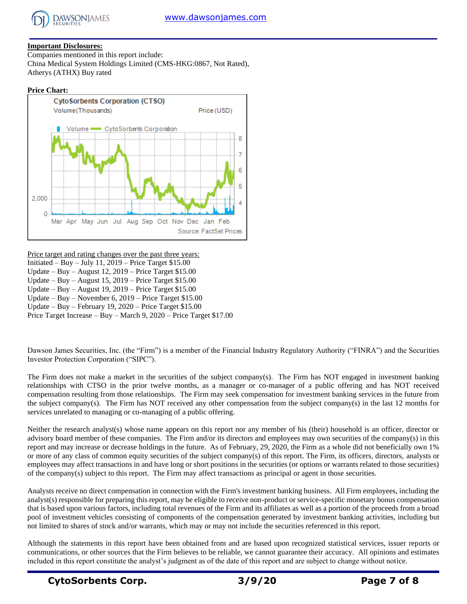

## **Important Disclosures:**

Companies mentioned in this report include: China Medical System Holdings Limited (CMS-HKG:0867, Not Rated), Atherys (ATHX) Buy rated

## **Price Chart:**



Price target and rating changes over the past three years: Initiated – Buy – July 11, 2019 – Price Target \$15.00 Update – Buy – August 12, 2019 – Price Target \$15.00 Update – Buy – August 15, 2019 – Price Target \$15.00 Update – Buy – August 19, 2019 – Price Target \$15.00 Update – Buy – November 6, 2019 – Price Target \$15.00 Update – Buy – February 19, 2020 – Price Target \$15.00 Price Target Increase – Buy – March 9, 2020 – Price Target \$17.00

Dawson James Securities, Inc. (the "Firm") is a member of the Financial Industry Regulatory Authority ("FINRA") and the Securities Investor Protection Corporation ("SIPC").

The Firm does not make a market in the securities of the subject company(s). The Firm has NOT engaged in investment banking relationships with CTSO in the prior twelve months, as a manager or co-manager of a public offering and has NOT received compensation resulting from those relationships. The Firm may seek compensation for investment banking services in the future from the subject company(s). The Firm has NOT received any other compensation from the subject company(s) in the last 12 months for services unrelated to managing or co-managing of a public offering.

Neither the research analyst(s) whose name appears on this report nor any member of his (their) household is an officer, director or advisory board member of these companies. The Firm and/or its directors and employees may own securities of the company(s) in this report and may increase or decrease holdings in the future. As of February, 29, 2020, the Firm as a whole did not beneficially own 1% or more of any class of common equity securities of the subject company(s) of this report. The Firm, its officers, directors, analysts or employees may affect transactions in and have long or short positions in the securities (or options or warrants related to those securities) of the company(s) subject to this report. The Firm may affect transactions as principal or agent in those securities.

Analysts receive no direct compensation in connection with the Firm's investment banking business. All Firm employees, including the analyst(s) responsible for preparing this report, may be eligible to receive non-product or service-specific monetary bonus compensation that is based upon various factors, including total revenues of the Firm and its affiliates as well as a portion of the proceeds from a broad pool of investment vehicles consisting of components of the compensation generated by investment banking activities, including but not limited to shares of stock and/or warrants, which may or may not include the securities referenced in this report.

Although the statements in this report have been obtained from and are based upon recognized statistical services, issuer reports or communications, or other sources that the Firm believes to be reliable, we cannot guarantee their accuracy. All opinions and estimates included in this report constitute the analyst's judgment as of the date of this report and are subject to change without notice.